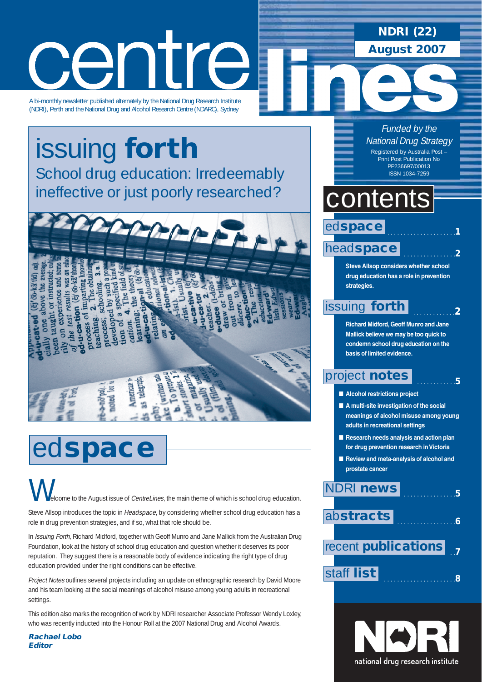# centre

A bi-monthly newsletter published alternately by the National Drug Research Institute (NDRI), Perth and the National Drug and Alcohol Research Centre (NDARC), Sydney

issuing **forth** School drug education: Irredeemably ineffective or just poorly researched?



# ed**space**

come to the August issue of CentreLines, the main theme of which is school drug education.  $\bigvee$ 

Steve Allsop introduces the topic in Headspace, by considering whether school drug education has a role in drug prevention strategies, and if so, what that role should be.

In Issuing Forth, Richard Midford, together with Geoff Munro and Jane Mallick from the Australian Drug Foundation, look at the history of school drug education and question whether it deserves its poor reputation. They suggest there is a reasonable body of evidence indicating the right type of drug education provided under the right conditions can be effective.

Project Notes outlines several projects including an update on ethnographic research by David Moore and his team looking at the social meanings of alcohol misuse among young adults in recreational settings.

This edition also marks the recognition of work by NDRI researcher Associate Professor Wendy Loxley, who was recently inducted into the Honour Roll at the 2007 National Drug and Alcohol Awards.

**Rachael Lobo Editor**

Funded by the National Drug Strategy Registered by Australia Post – Print Post Publication No PP236697/00013 ISSN 1034-7259

**NDRI (22)**

**August 2007**

### contents

### ed**space**

### head**space**

**Steve Allsop considers whether school drug education has a role in prevention strategies.**

. . . . . . . . . . . . . . . . . . . . .**1**

. . . . . . . . . . . . . . . .**2**

. . . . . . . . . . . . .**2**

. . . . . . . . . . . .**5**

### issuing **forth**

**Richard Midford, Geoff Munro and Jane Mallick believe we may be too quick to condemn school drug education on the basis of limited evidence.**

### project **notes**

- **Alcohol restrictions project**
- **A multi-site investigation of the social meanings of alcohol misuse among young adults in recreational settings**
- **Research needs analysis and action plan for drug prevention research in Victoria**
- **Review and meta-analysis of alcohol and prostate cancer**



national drug research institute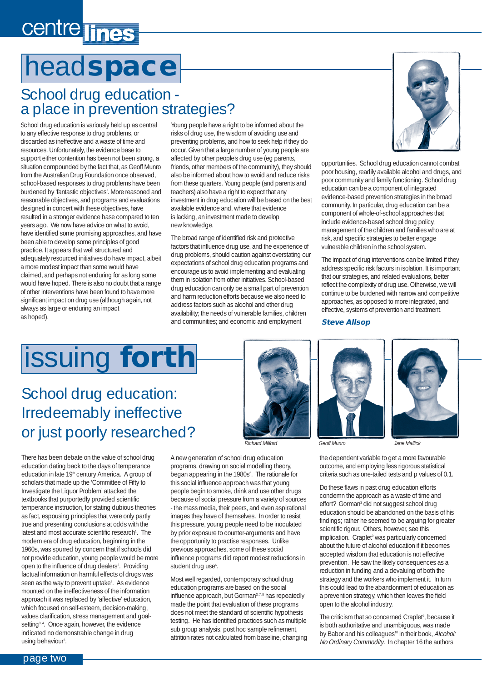# centre lines

# head**space**

### School drug education a place in prevention strategies?

School drug education is variously held up as central to any effective response to drug problems, or discarded as ineffective and a waste of time and resources. Unfortunately, the evidence base to support either contention has been not been strong, a situation compounded by the fact that, as Geoff Munro from the Australian Drug Foundation once observed, school-based responses to drug problems have been burdened by 'fantastic objectives'. More reasoned and reasonable objectives, and programs and evaluations designed in concert with these objectives, have resulted in a stronger evidence base compared to ten years ago. We now have advice on what to avoid, have identified some promising approaches, and have been able to develop some principles of good practice. It appears that well structured and adequately resourced initiatives do have impact, albeit a more modest impact than some would have claimed, and perhaps not enduring for as long some would have hoped. There is also no doubt that a range of other interventions have been found to have more significant impact on drug use (although again, not always as large or enduring an impact as hoped).

Young people have a right to be informed about the risks of drug use, the wisdom of avoiding use and preventing problems, and how to seek help if they do occur. Given that a large number of young people are affected by other people's drug use (eg parents, friends, other members of the community), they should also be informed about how to avoid and reduce risks from these quarters. Young people (and parents and teachers) also have a right to expect that any investment in drug education will be based on the best available evidence and, where that evidence is lacking, an investment made to develop new knowledge.

The broad range of identified risk and protective factors that influence drug use, and the experience of drug problems, should caution against overstating our expectations of school drug education programs and encourage us to avoid implementing and evaluating them in isolation from other initiatives. School-based drug education can only be a small part of prevention and harm reduction efforts because we also need to address factors such as alcohol and other drug availability; the needs of vulnerable families, children and communities; and economic and employment



opportunities. School drug education cannot combat poor housing, readily available alcohol and drugs, and poor community and family functioning. School drug education can be a component of integrated evidence-based prevention strategies in the broad community. In particular, drug education can be a component of whole-of-school approaches that include evidence-based school drug policy, management of the children and families who are at risk, and specific strategies to better engage vulnerable children in the school system.

The impact of drug interventions can be limited if they address specific risk factors in isolation. It is important that our strategies, and related evaluations, better reflect the complexity of drug use. Otherwise, we will continue to be burdened with narrow and competitive approaches, as opposed to more integrated, and effective, systems of prevention and treatment.

#### **Steve Allsop**

# issuing **forth**

### School drug education: Irredeemably ineffective or just poorly researched?

There has been debate on the value of school drug education dating back to the days of temperance education in late 19<sup>th</sup> century America. A group of scholars that made up the 'Committee of Fifty to Investigate the Liquor Problem' attacked the textbooks that purportedly provided scientific temperance instruction, for stating dubious theories as fact, espousing principles that were only partly true and presenting conclusions at odds with the latest and most accurate scientific research<sup>1</sup>. The modern era of drug education, beginning in the 1960s, was spurred by concern that if schools did not provide education, young people would be more open to the influence of drug dealers<sup>2</sup>. Providing factual information on harmful effects of drugs was seen as the way to prevent uptake<sup>3</sup>. As evidence mounted on the ineffectiveness of the information approach it was replaced by 'affective' education, which focused on self-esteem, decision-making, values clarification, stress management and goalsetting<sup>3, 4</sup>. Once again, however, the evidence indicated no demonstrable change in drug using behaviour<sup>3</sup>.



A new generation of school drug education programs, drawing on social modelling theory, began appearing in the 1980s<sup>5</sup>. The rationale for this social influence approach was that young people begin to smoke, drink and use other drugs because of social pressure from a variety of sources - the mass media, their peers, and even aspirational images they have of themselves. In order to resist this pressure, young people need to be inoculated by prior exposure to counter-arguments and have the opportunity to practise responses. Unlike previous approaches, some of these social influence programs did report modest reductions in student drug use<sup>6</sup>.

Most well regarded, contemporary school drug education programs are based on the social influence approach, but Gorman<sup>3, 7, 8</sup> has repeatedly made the point that evaluation of these programs does not meet the standard of scientific hypothesis testing. He has identified practices such as multiple sub group analysis, post hoc sample refinement, attrition rates not calculated from baseline, changing





the dependent variable to get a more favourable outcome, and employing less rigorous statistical criteria such as one-tailed tests and p values of 0.1.

Do these flaws in past drug education efforts condemn the approach as a waste of time and effort? Gorman<sup>3</sup> did not suggest school drug education should be abandoned on the basis of his findings; rather he seemed to be arguing for greater scientific rigour. Others, however, see this implication. Craplet<sup>9</sup> was particularly concerned about the future of alcohol education if it becomes accepted wisdom that education is not effective prevention. He saw the likely consequences as a reduction in funding and a devaluing of both the strategy and the workers who implement it. In turn this could lead to the abandonment of education as a prevention strategy, which then leaves the field open to the alcohol industry.

The criticism that so concerned Craplet<sup>9</sup>, because it is both authoritative and unambiguous, was made by Babor and his colleagues<sup>10</sup> in their book, Alcohol: No Ordinary Commodity. In chapter 16 the authors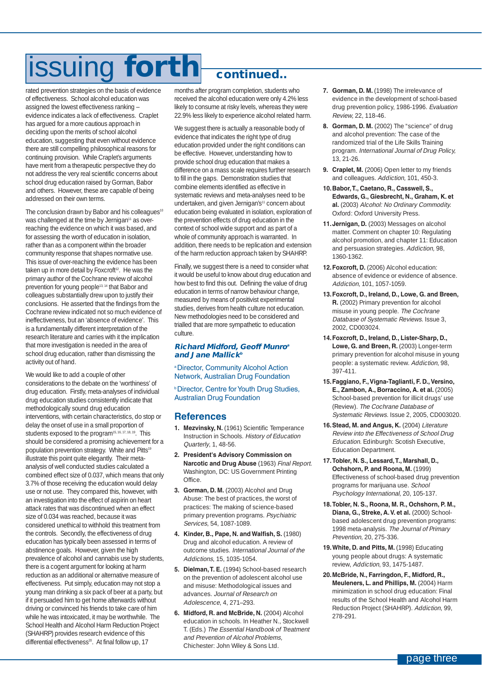# issuing **forth continued..**

rated prevention strategies on the basis of evidence of effectiveness. School alcohol education was assigned the lowest effectiveness ranking – evidence indicates a lack of effectiveness. Craplet has argued for a more cautious approach in deciding upon the merits of school alcohol education, suggesting that even without evidence there are still compelling philosophical reasons for continuing provision. While Craplet's arguments have merit from a therapeutic perspective they do not address the very real scientific concerns about school drug education raised by Gorman, Babor and others. However, these are capable of being addressed on their own terms.

The conclusion drawn by Babor and his colleagues<sup>10</sup> was challenged at the time by Jernigan<sup>11</sup> as overreaching the evidence on which it was based, and for assessing the worth of education in isolation, rather than as a component within the broader community response that shapes normative use. This issue of over-reaching the evidence has been taken up in more detail by Foxcroft<sup>12</sup>. He was the primary author of the Cochrane review of alcohol prevention for young people13, 14 that Babor and colleagues substantially drew upon to justify their conclusions. He asserted that the findings from the Cochrane review indicated not so much evidence of ineffectiveness, but an 'absence of evidence'. This is a fundamentally different interpretation of the research literature and carries with it the implication that more investigation is needed in the area of school drug education, rather than dismissing the activity out of hand.

We would like to add a couple of other considerations to the debate on the 'worthiness' of drug education. Firstly, meta-analyses of individual drug education studies consistently indicate that methodologically sound drug education interventions, with certain characteristics, do stop or delay the onset of use in a small proportion of students exposed to the program15, 16, 17, 18, 19. This should be considered a promising achievement for a population prevention strategy. White and Pitts<sup>19</sup> illustrate this point quite elegantly. Their metaanalysis of well conducted studies calculated a combined effect size of 0.037, which means that only 3.7% of those receiving the education would delay use or not use. They compared this, however, with an investigation into the effect of aspirin on heart attack rates that was discontinued when an effect size of 0.034 was reached, because it was considered unethical to withhold this treatment from the controls. Secondly, the effectiveness of drug education has typically been assessed in terms of abstinence goals. However, given the high prevalence of alcohol and cannabis use by students, there is a cogent argument for looking at harm reduction as an additional or alternative measure of effectiveness. Put simply, education may not stop a young man drinking a six pack of beer at a party, but if it persuaded him to get home afterwards without driving or convinced his friends to take care of him while he was intoxicated, it may be worthwhile. The School Health and Alcohol Harm Reduction Project (SHAHRP) provides research evidence of this differential effectiveness<sup>20</sup>. At final follow up, 17

months after program completion, students who received the alcohol education were only 4.2% less likely to consume at risky levels, whereas they were 22.9% less likely to experience alcohol related harm.

We suggest there is actually a reasonable body of evidence that indicates the right type of drug education provided under the right conditions can be effective. However, understanding how to provide school drug education that makes a difference on a mass scale requires further research to fill in the gaps. Demonstration studies that combine elements identified as effective in systematic reviews and meta-analyses need to be undertaken, and given Jernigan's<sup>11</sup> concern about education being evaluated in isolation, exploration of the prevention effects of drug education in the context of school wide support and as part of a whole of community approach is warranted. In addition, there needs to be replication and extension of the harm reduction approach taken by SHAHRP.

Finally, we suggest there is a need to consider what it would be useful to know about drug education and how best to find this out. Defining the value of drug education in terms of narrow behaviour change, measured by means of positivist experimental studies, derives from health culture not education. New methodologies need to be considered and trialled that are more sympathetic to education culture.

#### **Richard Midford, Geoff Munro<sup>a</sup> and Jane Mallick<sup>b</sup>**

a Director, Community Alcohol Action Network, Australian Drug Foundation

*<b>Director, Centre for Youth Drug Studies,* Australian Drug Foundation

### **References**

- **1. Mezvinsky, N.** (1961) Scientific Temperance Instruction in Schools. History of Education Quarterly, 1, 48-56.
- **2. President's Advisory Commission on Narcotic and Drug Abuse** (1963) Final Report. Washington, DC: US Government Printing Office.
- **3. Gorman, D. M.** (2003) Alcohol and Drug Abuse: The best of practices, the worst of practices: The making of science-based primary prevention programs. Psychiatric Services, 54, 1087-1089.
- **4. Kinder, B., Pape, N. and Walfish, S.** (1980) Drug and alcohol education. A review of outcome studies. International Journal of the Addictions, 15, 1035-1054.
- **5. Dielman,T. E.** (1994) School-based research on the prevention of adolescent alcohol use and misuse: Methodological issues and advances. Journal of Research on Adolescence, 4, 271–293.
- **6. Midford, R. and McBride, N.** (2004) Alcohol education in schools. In Heather N., Stockwell T. (Eds.) The Essential Handbook of Treatment and Prevention of Alcohol Problems, Chichester: John Wiley & Sons Ltd.
- **7. Gorman, D. M.** (1998) The irrelevance of evidence in the development of school-based drug prevention policy, 1986-1996. Evaluation Review, 22, 118-46.
- **8. Gorman, D. M.** (2002) The "science" of drug and alcohol prevention: The case of the randomized trial of the Life Skills Training program. International Journal of Drug Policy, 13, 21-26.
- **9. Craplet, M.** (2006) Open letter to my friends and colleagues. Addiction, 101, 450-3.
- **10.Babor,T., Caetano, R., Casswell, S., Edwards, G., Giesbrecht, N., Graham, K. et al.** (2003) Alcohol: No Ordinary Commodity. Oxford: Oxford University Press.
- **11.Jernigan, D.** (2003) Messages on alcohol matter. Comment on chapter 10: Regulating alcohol promotion, and chapter 11: Education and persuasion strategies. Addiction, 98, 1360-1362.
- **12.Foxcroft, D.** (2006) Alcohol education: absence of evidence or evidence of absence. Addiction, 101, 1057-1059.
- **13.Foxcroft, D., Ireland, D., Lowe, G. and Breen, R.** (2002) Primary prevention for alcohol misuse in young people. The Cochrane Database of Systematic Reviews. Issue 3, 2002, CD003024.
- **14.Foxcroft, D., Ireland, D., Lister-Sharp, D., Lowe, G. and Breen, R.** (2003) Longer-term primary prevention for alcohol misuse in young people: a systematic review. Addiction, 98, 397-411.
- **15.Faggiano, F.,Vigna-Taglianti, F. D.,Versino, E., Zambon, A., Borraccino, A. et al.** (2005) School-based prevention for illicit drugs' use (Review). The Cochrane Database of Systematic Reviews. Issue 2, 2005, CD003020.
- **16.Stead, M. and Angus, K.** (2004) Literature Review into the Effectiveness of School Drug Education. Edinburgh: Scotish Executive, Education Department.
- **17.Tobler, N. S., Lessard,T., Marshall, D., Ochshorn, P. and Roona, M.** (1999) Effectiveness of school-based drug prevention programs for marijuana use. School Psychology International, 20, 105-137.
- **18.Tobler, N. S., Roona, M. R., Ochshorn, P. M., Diana, G., Streke, A.V. et al.** (2000) Schoolbased adolescent drug prevention programs: 1998 meta-analysis. The Journal of Primary Prevention, 20, 275-336.
- 19. White, D. and Pitts, M. (1998) Educating young people about drugs: A systematic review, Addiction, 93, 1475-1487.
- **20.McBride, N., Farringdon, F., Midford, R., Meuleners, L. and Phillips, M.** (2004) Harm minimization in school drug education: Final results of the School Health and Alcohol Harm Reduction Project (SHAHRP). Addiction, 99, 278-291.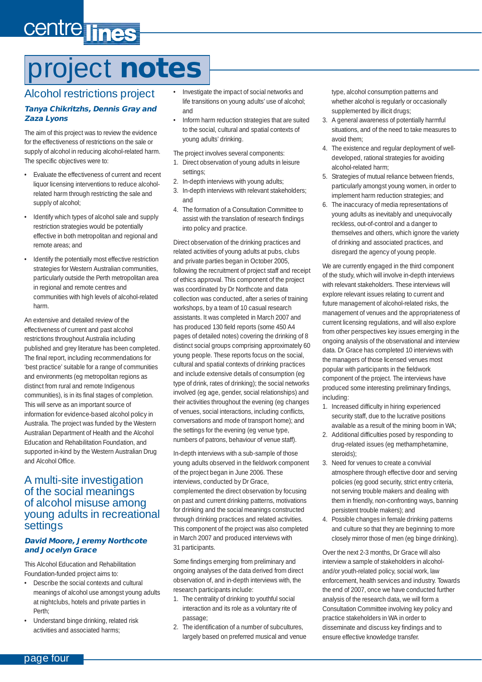# centre lines

# project **notes**

### Alcohol restrictions project

#### **Tanya Chikritzhs, Dennis Gray and Zaza Lyons**

The aim of this project was to review the evidence for the effectiveness of restrictions on the sale or supply of alcohol in reducing alcohol-related harm. The specific objectives were to:

- Evaluate the effectiveness of current and recent liquor licensing interventions to reduce alcoholrelated harm through restricting the sale and supply of alcohol:
- Identify which types of alcohol sale and supply restriction strategies would be potentially effective in both metropolitan and regional and remote areas; and
- Identify the potentially most effective restriction strategies for Western Australian communities, particularly outside the Perth metropolitan area in regional and remote centres and communities with high levels of alcohol-related harm.

An extensive and detailed review of the effectiveness of current and past alcohol restrictions throughout Australia including published and grey literature has been completed. The final report, including recommendations for 'best practice' suitable for a range of communities and environments (eg metropolitan regions as distinct from rural and remote Indigenous communities), is in its final stages of completion. This will serve as an important source of information for evidence-based alcohol policy in Australia. The project was funded by the Western Australian Department of Health and the Alcohol Education and Rehabilitation Foundation, and supported in-kind by the Western Australian Drug and Alcohol Office.

### A multi-site investigation of the social meanings of alcohol misuse among young adults in recreational settings

#### **David Moore, Jeremy Northcote and Jocelyn Grace**

This Alcohol Education and Rehabilitation Foundation-funded project aims to:

- Describe the social contexts and cultural meanings of alcohol use amongst young adults at nightclubs, hotels and private parties in Perth;
- Understand binge drinking, related risk activities and associated harms;
- Investigate the impact of social networks and life transitions on young adults' use of alcohol; and
- Inform harm reduction strategies that are suited to the social, cultural and spatial contexts of young adults' drinking.

The project involves several components:

- 1. Direct observation of young adults in leisure settings;
- 2. In-depth interviews with young adults;
- 3. In-depth interviews with relevant stakeholders; and
- 4. The formation of a Consultation Committee to assist with the translation of research findings into policy and practice.

Direct observation of the drinking practices and related activities of young adults at pubs, clubs and private parties began in October 2005, following the recruitment of project staff and receipt of ethics approval. This component of the project was coordinated by Dr Northcote and data collection was conducted, after a series of training workshops, by a team of 10 casual research assistants. It was completed in March 2007 and has produced 130 field reports (some 450 A4 pages of detailed notes) covering the drinking of 8 distinct social groups comprising approximately 60 young people. These reports focus on the social, cultural and spatial contexts of drinking practices and include extensive details of consumption (eg type of drink, rates of drinking); the social networks involved (eg age, gender, social relationships) and their activities throughout the evening (eg changes of venues, social interactions, including conflicts, conversations and mode of transport home); and the settings for the evening (eg venue type, numbers of patrons, behaviour of venue staff).

In-depth interviews with a sub-sample of those young adults observed in the fieldwork component of the project began in June 2006. These interviews, conducted by Dr Grace, complemented the direct observation by focusing on past and current drinking patterns, motivations for drinking and the social meanings constructed through drinking practices and related activities. This component of the project was also completed in March 2007 and produced interviews with 31 participants.

Some findings emerging from preliminary and ongoing analyses of the data derived from direct observation of, and in-depth interviews with, the research participants include:

- 1. The centrality of drinking to youthful social interaction and its role as a voluntary rite of passage;
- 2. The identification of a number of subcultures, largely based on preferred musical and venue

type, alcohol consumption patterns and whether alcohol is regularly or occasionally supplemented by illicit drugs;

- 3. A general awareness of potentially harmful situations, and of the need to take measures to avoid them;
- 4. The existence and regular deployment of welldeveloped, rational strategies for avoiding alcohol-related harm;
- 5. Strategies of mutual reliance between friends, particularly amongst young women, in order to implement harm reduction strategies; and
- 6. The inaccuracy of media representations of young adults as inevitably and unequivocally reckless, out-of-control and a danger to themselves and others, which ignore the variety of drinking and associated practices, and disregard the agency of young people.

We are currently engaged in the third component of the study, which will involve in-depth interviews with relevant stakeholders. These interviews will explore relevant issues relating to current and future management of alcohol-related risks, the management of venues and the appropriateness of current licensing regulations, and will also explore from other perspectives key issues emerging in the ongoing analysis of the observational and interview data. Dr Grace has completed 10 interviews with the managers of those licensed venues most popular with participants in the fieldwork component of the project. The interviews have produced some interesting preliminary findings, including:

- 1. Increased difficulty in hiring experienced security staff, due to the lucrative positions available as a result of the mining boom in WA;
- 2. Additional difficulties posed by responding to drug-related issues (eg methamphetamine, steroids);
- 3. Need for venues to create a convivial atmosphere through effective door and serving policies (eg good security, strict entry criteria, not serving trouble makers and dealing with them in friendly, non-confronting ways, banning persistent trouble makers); and
- 4. Possible changes in female drinking patterns and culture so that they are beginning to more closely mirror those of men (eg binge drinking).

Over the next 2-3 months, Dr Grace will also interview a sample of stakeholders in alcoholand/or youth-related policy, social work, law enforcement, health services and industry. Towards the end of 2007, once we have conducted further analysis of the research data, we will form a Consultation Committee involving key policy and practice stakeholders in WA in order to disseminate and discuss key findings and to ensure effective knowledge transfer.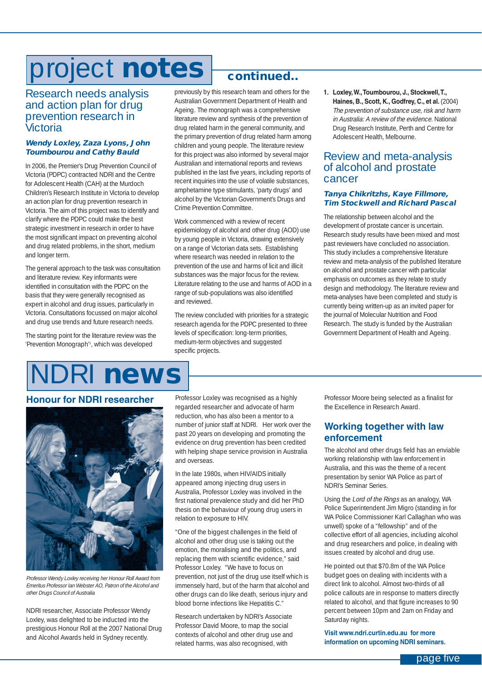# project **notes**

### Research needs analysis and action plan for drug prevention research in Victoria

#### **Wendy Loxley, Zaza Lyons, John Toumbourou and Cathy Bauld**

In 2006, the Premier's Drug Prevention Council of Victoria (PDPC) contracted NDRI and the Centre for Adolescent Health (CAH) at the Murdoch Children's Research Institute in Victoria to develop an action plan for drug prevention research in Victoria. The aim of this project was to identify and clarify where the PDPC could make the best strategic investment in research in order to have the most significant impact on preventing alcohol and drug related problems, in the short, medium and longer term.

The general approach to the task was consultation and literature review. Key informants were identified in consultation with the PDPC on the basis that they were generally recognised as expert in alcohol and drug issues, particularly in Victoria. Consultations focussed on major alcohol and drug use trends and future research needs.

The starting point for the literature review was the 'Prevention Monograph'<sup>1</sup>, which was developed

### **continued..**

previously by this research team and others for the Australian Government Department of Health and Ageing. The monograph was a comprehensive literature review and synthesis of the prevention of drug related harm in the general community, and the primary prevention of drug related harm among children and young people. The literature review for this project was also informed by several major Australian and international reports and reviews published in the last five years, including reports of recent inquiries into the use of volatile substances, amphetamine type stimulants, 'party drugs' and alcohol by the Victorian Government's Drugs and Crime Prevention Committee.

Work commenced with a review of recent epidemiology of alcohol and other drug (AOD) use by young people in Victoria, drawing extensively on a range of Victorian data sets. Establishing where research was needed in relation to the prevention of the use and harms of licit and illicit substances was the major focus for the review. Literature relating to the use and harms of AOD in a range of sub-populations was also identified and reviewed.

The review concluded with priorities for a strategic research agenda for the PDPC presented to three levels of specification: long-term priorities, medium-term objectives and suggested specific projects.

**1. Loxley,W.,Toumbourou, J., Stockwell,T., Haines, B., Scott, K., Godfrey, C., et al.** (2004) The prevention of substance use, risk and harm in Australia: A review of the evidence. National Drug Research Institute, Perth and Centre for Adolescent Health, Melbourne.

### Review and meta-analysis of alcohol and prostate cancer

#### **Tanya Chikritzhs, Kaye Fillmore, Tim Stockwell and Richard Pascal**

The relationship between alcohol and the development of prostate cancer is uncertain. Research study results have been mixed and most past reviewers have concluded no association. This study includes a comprehensive literature review and meta-analysis of the published literature on alcohol and prostate cancer with particular emphasis on outcomes as they relate to study design and methodology. The literature review and meta-analyses have been completed and study is currently being written-up as an invited paper for the journal of Molecular Nutrition and Food Research. The study is funded by the Australian Government Department of Health and Ageing.

### NDRI **news**

### **Honour for NDRI researcher**



Professor Wendy Loxley receiving her Honour Roll Award from Emeritus Professor Ian Webster AO, Patron of the Alcohol and other Drugs Council of Australia

NDRI researcher, Associate Professor Wendy Loxley, was delighted to be inducted into the prestigious Honour Roll at the 2007 National Drug and Alcohol Awards held in Sydney recently.

Professor Loxley was recognised as a highly regarded researcher and advocate of harm reduction, who has also been a mentor to a number of junior staff at NDRI. Her work over the past 20 years on developing and promoting the evidence on drug prevention has been credited with helping shape service provision in Australia and overseas.

In the late 1980s, when HIV/AIDS initially appeared among injecting drug users in Australia, Professor Loxley was involved in the first national prevalence study and did her PhD thesis on the behaviour of young drug users in relation to exposure to HIV.

"One of the biggest challenges in the field of alcohol and other drug use is taking out the emotion, the moralising and the politics, and replacing them with scientific evidence," said Professor Loxley. "We have to focus on prevention, not just of the drug use itself which is immensely hard, but of the harm that alcohol and other drugs can do like death, serious injury and blood borne infections like Hepatitis C."

Research undertaken by NDRI's Associate Professor David Moore, to map the social contexts of alcohol and other drug use and related harms, was also recognised, with

Professor Moore being selected as a finalist for the Excellence in Research Award.

### **Working together with law enforcement**

The alcohol and other drugs field has an enviable working relationship with law enforcement in Australia, and this was the theme of a recent presentation by senior WA Police as part of NDRI's Seminar Series.

Using the Lord of the Rings as an analogy, WA Police Superintendent Jim Migro (standing in for WA Police Commissioner Karl Callaghan who was unwell) spoke of a "fellowship" and of the collective effort of all agencies, including alcohol and drug researchers and police, in dealing with issues created by alcohol and drug use.

He pointed out that \$70.8m of the WA Police budget goes on dealing with incidents with a direct link to alcohol. Almost two-thirds of all police callouts are in response to matters directly related to alcohol, and that figure increases to 90 percent between 10pm and 2am on Friday and Saturday nights.

**Visit www.ndri.curtin.edu.au for more information on upcoming NDRI seminars.**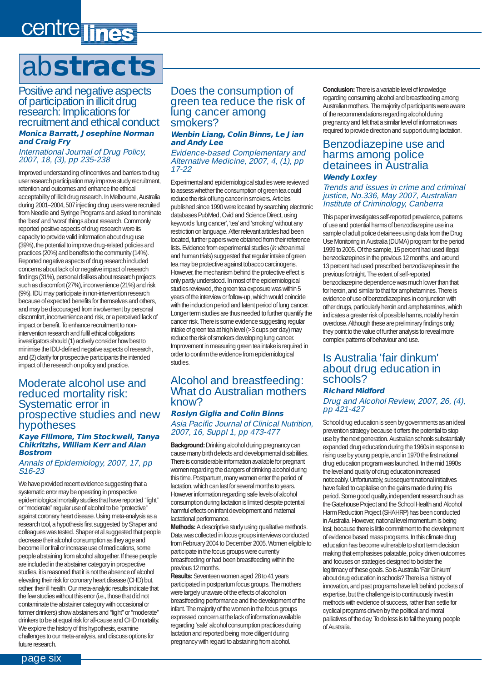# centre lines

# ab**stracts**

Positive and negative aspects of participation in illicit drug research: Implications for recruitment and ethical conduct **Monica Barratt, Josephine Norman and Craig Fry**

International Journal of Drug Policy, 2007, 18, (3), pp 235-238

Improved understanding of incentives and barriers to drug user research participation may improve study recruitment, retention and outcomes and enhance the ethical acceptability of illicit drug research. In Melbourne, Australia during 2001–2004, 507 injecting drug users were recruited from Needle and Syringe Programs and asked to nominate the 'best' and 'worst' things about research. Commonly reported positive aspects of drug research were its capacity to provide valid information about drug use (39%), the potential to improve drug-related policies and practices (20%) and benefits to the community (14%). Reported negative aspects of drug research included concerns about lack of or negative impact of research findings (31%), personal dislikes about research projects such as discomfort (27%), inconvenience (21%) and risk (9%). IDU may participate in non-intervention research because of expected benefits for themselves and others, and may be discouraged from involvement by personal discomfort, inconvenience and risk, or a perceived lack of impact or benefit. To enhance recruitment to nonintervention research and fulfil ethical obligations investigators should (1) actively consider how best to minimise the IDU-defined negative aspects of research, and (2) clarify for prospective participants the intended impact of the research on policy and practice.

#### Moderate alcohol use and reduced mortality risk: Systematic error in prospective studies and new hypotheses

#### **Kaye Fillmore, Tim Stockwell, Tanya Chikritzhs, William Kerr and Alan Bostrom**

Annals of Epidemiology, 2007, 17, pp S16-23

We have provided recent evidence suggesting that a systematic error may be operating in prospective epidemiological mortality studies that have reported ''light'' or ''moderate'' regular use of alcohol to be ''protective'' against coronary heart disease. Using meta-analysis as a research tool, a hypothesis first suggested by Shaper and colleagues was tested. Shaper et al suggested that people decrease their alcohol consumption as they age and become ill or frail or increase use of medications, some people abstaining from alcohol altogether. If these people are included in the abstainer category in prospective studies, it is reasoned that it is not the absence of alcohol elevating their risk for coronary heart disease (CHD) but, rather, their ill health. Our meta-analytic results indicate that the few studies without this error (i.e., those that did not contaminate the abstainer category with occasional or former drinkers) show abstainers and ''light'' or ''moderate'' drinkers to be at equal risk for all-cause and CHD mortality. We explore the history of this hypothesis, examine challenges to our meta-analysis, and discuss options for future research.

#### Does the consumption of green tea reduce the risk of lung cancer among smokers?

#### **Wenbin Liang, Colin Binns, Le Jian and Andy Lee**

Evidence-based Complementary and Alternative Medicine, 2007, 4, (1), pp 17-22

Experimental and epidemiological studies were reviewed to assess whether the consumption of green tea could reduce the risk of lung cancer in smokers. Articles published since 1990 were located by searching electronic databases PubMed, Ovid and Science Direct, using keywords 'lung cancer', 'tea' and 'smoking' without any restriction on language. After relevant articles had been located, further papers were obtained from their reference lists. Evidence from experimental studies (in vitro animal and human trials) suggested that regular intake of green tea may be protective against tobacco carcinogens. However, the mechanism behind the protective effect is only partly understood. In most of the epidemiological studies reviewed, the green tea exposure was within 5 years of the interview or follow-up, which would coincide with the induction period and latent period of lung cancer. Longer term studies are thus needed to further quantify the cancer risk. There is some evidence suggesting regular intake of green tea at high level (>3 cups per day) may reduce the risk of smokers developing lung cancer. Improvement in measuring green tea intake is required in order to confirm the evidence from epidemiological studies.

### Alcohol and breastfeeding: What do Australian mothers know?

#### **Roslyn Giglia and Colin Binns**

Asia Pacific Journal of Clinical Nutrition, 2007, 16, Suppl 1, pp 473-477

**Background:**Drinking alcohol during pregnancy can cause many birth defects and developmental disabilities. There is considerable information available for pregnant women regarding the dangers of drinking alcohol during this time. Postpartum, many women enter the period of lactation, which can last for several months to years. However information regarding safe levels of alcohol consumption during lactation is limited despite potential harmful effects on infant development and maternal lactational performance.

**Methods:** A descriptive study using qualitative methods. Data was collected in focus groups interviews conducted from February 2004 to December 2005. Women eligible to participate in the focus groups were currently breastfeeding or had been breastfeeding within the previous 12 months.

**Results:**Seventeen women aged 28 to 41 years participated in postpartum focus groups. The mothers were largely unaware of the effects of alcohol on breastfeeding performance and the development of the infant. The majority of the women in the focus groups expressed concern at the lack of information available regarding 'safe' alcohol consumption practices during lactation and reported being more diligent during pregnancy with regard to abstaining from alcohol.

**Conclusion:** There is a variable level of knowledge regarding consuming alcohol and breastfeeding among Australian mothers. The majority of participants were aware of the recommendations regarding alcohol during pregnancy and felt that a similar level of information was required to provide direction and support during lactation.

#### Benzodiazepine use and harms among police detainees in Australia **Wendy Loxley**

#### Trends and issues in crime and criminal justice, No.336, May 2007, Australian Institute of Criminology, Canberra

This paper investigates self-reported prevalence, patterns of use and potential harms of benzodiazepine use in a sample of adult police detainees using data from the Drug Use Monitoring in Australia (DUMA) program for the period 1999 to 2005. Of the sample, 15 percent had used illegal benzodiazepines in the previous 12 months, and around 13 percent had used prescribed benzodiazepines in the previous fortnight. The extent of self-reported benzodiazepine dependence was much lower than that for heroin, and similar to that for amphetamines. There is evidence of use of benzodiazepines in conjunction with other drugs, particularly heroin and amphetamines, which indicates a greater risk of possible harms, notably heroin overdose. Although these are preliminary findings only, they point to the value of further analysis to reveal more complex patterns of behaviour and use.

### Is Australia 'fair dinkum' about drug education in schools?

#### **Richard Midford**

Drug and Alcohol Review, 2007, 26, (4), pp 421-427

School drug education is seen by governments as an ideal prevention strategy because it offers the potential to stop use by the next generation. Australian schools substantially expanded drug education during the 1960s in response to rising use by young people, and in 1970 the first national drug education program was launched. In the mid 1990s the level and quality of drug education increased noticeably. Unfortunately, subsequent national initiatives have failed to capitalise on the gains made during this period. Some good quality, independent research such as the Gatehouse Project and the School Health and Alcohol Harm Reduction Project (SHAHRP) has been conducted in Australia. However, national level momentum is being lost, because there is little commitment to the development of evidence based mass programs. In this climate drug education has become vulnerable to short term decision making that emphasises palatable, policy driven outcomes and focuses on strategies designed to bolster the legitimacy of these goals. So is Australia 'Fair Dinkum' about drug education in schools? There is a history of innovation, and past programs have left behind pockets of expertise, but the challenge is to continuously invest in methods with evidence of success, rather than settle for cyclical programs driven by the political and moral palliatives of the day. To do less is to fail the young people of Australia.

page six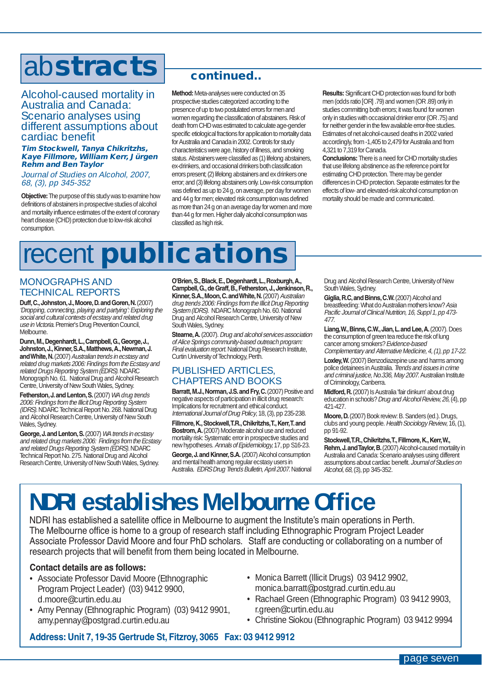### ab**stracts**

#### Alcohol-caused mortality in Australia and Canada: Scenario analyses using different assumptions about cardiac benefit

#### **Tim Stockwell, Tanya Chikritzhs, Kaye Fillmore, William Kerr, Jürgen Rehm and Ben Taylor**

Journal of Studies on Alcohol, 2007, 68, (3), pp 345-352

**Objective:**The purpose of this study was to examine how definitions of abstainers in prospective studies of alcohol and mortality influence estimates of the extent of coronary heart disease (CHD) protection due to low-risk alcohol consumption.

### **continued..**

**Method:** Meta-analyses were conducted on 35 prospective studies categorized according to the presence of up to two postulated errors for men and women regarding the classification of abstainers. Risk of death from CHD was estimated to calculate age-gender specific etiological fractions for application to mortality data for Australia and Canada in 2002. Controls for study characteristics were age, history of illness, and smoking status. Abstainers were classified as (1) lifelong abstainers, ex-drinkers, and occasional drinkers both classification errors present; (2) lifelong abstainers and ex drinkers one error; and (3) lifelong abstainers only. Low-risk consumption was defined as up to 24 g, on average, per day for women and 44 g for men; elevated risk consumption was defined as more than 24 g on an average day for women and more than 44 g for men. Higher daily alcohol consumption was classified as high risk.

**Results:**Significant CHD protection was found for both men (odds ratio [OR] .79) and women (OR .89) only in studies committing both errors; it was found for women only in studies with occasional drinker error (OR .75) and for neither gender in the few available error-free studies. Estimates of net alcohol-caused deaths in 2002 varied accordingly, from -1,405 to 2,479 for Australia and from 4,321 to 7,319 for Canada.

**Conclusions:**There is a need for CHD mortality studies that use lifelong abstinence as the reference point for estimating CHD protection. There may be gender differences in CHD protection. Separate estimates for the effects of low- and elevated-risk alcohol consumption on mortality should be made and communicated.

# recent **publications**

### MONOGRAPHS AND TECHNICAL REPORTS

**Duff,C.,Johnston,J.,Moore,D.and Goren,N.**(2007) 'Dropping, connecting, playing and partying': Exploring the social and cultural contexts of ecstasy and related drug use in Victoria. Premier's Drug Prevention Council, Melbourne.

**Dunn,M.,Degenhardt,L.,Campbell,G.,George,J., Johnston,J.,Kinner,S.A.,Matthews,A.,Newman,J.** and White, N. (2007) Australian trends in ecstasy and related drug markets 2006: Findings from the Ecstasy and related Drugs Reporting System (EDRS). NDARC Monograph No. 61. National Drug and Alcohol Research Centre, University of New South Wales, Sydney.

**Fetherston, J. and Lenton, S.** (2007) WA drug trends 2006: Findings from the Illicit Drug Reporting System (IDRS).NDARC Technical Report No. 268. National Drug and Alcohol Research Centre, University of New South Wales, Sydney.

**George, J. and Lenton, S.** (2007) WA trends in ecstasy and related drug markets 2006: Findings from the Ecstasy and related Drugs Reporting System (EDRS). NDARC Technical Report No. 275. National Drug and Alcohol Research Centre, University of New South Wales, Sydney.

**O'Brien,S.,Black,E.,Degenhardt,L.,Roxburgh,A., Campbell,G.,de Graff,B.,Fetherston,J.,Jenkinson,R., Kinner, S.A., Moon, C. and White, N.** (2007) Australian drug trends 2006: Findings from the Illicit Drug Reporting System (IDRS). NDARC Monograph No. 60. National Drug and Alcohol Research Centre, University of New South Wales, Sydney.

**Stearne, A.** (2007). Drug and alcohol services association of Alice Springs community-based outreach program: Final evaluation report. National Drug Research Institute, Curtin University of Technology, Perth.

### PUBLISHED ARTICLES, CHAPTERS AND BOOKS

Barratt, M.J., Norman, J.S. and Fry, C. (2007) Positive and negative aspects of participation in illicit drug research: Implications for recruitment and ethical conduct. International Journal of Drug Policy, 18, (3), pp 235-238.

**Fillmore,K.,Stockwell,T.R.,Chikritzhs,T.,Kerr,T.and Bostrom,A.**(2007) Moderate alcohol use and reduced mortality risk: Systematic error in prospective studies and new hypotheses. Annals of Epidemiology,17, pp S16-23.

**George,J.and Kinner,S.A.**(2007) Alcohol consumption and mental health among regular ecstasy users in Australia. EDRS Drug Trends Bulletin, April 2007. National Drug and Alcohol Research Centre, University of New South Wales, Sydney.

**Giglia,R.C,and Binns,C.W.**(2007) Alcohol and breastfeeding: What do Australian mothers know? Asia Pacific Journal of Clinical Nutrition, 16, Suppl 1, pp 473- 477.

**Liang,W.,Binns,C.W.,Jian,L.and Lee,A.**(2007). Does the consumption of green tea reduce the risk of lung cancer among smokers? Evidence-based Complementary and Alternative Medicine, 4, (1), pp 17-22.

**Loxley,W.**(2007) Benzodiazepine use and harms among police detainees in Australia. Trends and issues in crime and criminal justice, No.336, May 2007. Australian Institute of Criminology, Canberra.

**Midford,R.**(2007) Is Australia 'fair dinkum' about drug education in schools? Drug and Alcohol Review, 26, (4), pp 421-427.

**Moore,D.**(2007) Book review: B. Sanders (ed.). Drugs, clubs and young people. Health Sociology Review, 16, (1), pp 91-92.

**Stockwell,T.R.,Chikritzhs,T.,Fillmore,K.,Kerr,W., Rehm,J.and Taylor,B.**(2007) Alcohol-caused mortality in Australia and Canada: Scenario analyses using different assumptions about cardiac benefit. Journal of Studies on Alcohol, 68, (3), pp 345-352.

### **NDRI establishes Melbourne Office**

NDRI has established a satellite office in Melbourne to augment the Institute's main operations in Perth. The Melbourne office is home to a group of research staff including Ethnographic Program Project Leader Associate Professor David Moore and four PhD scholars. Staff are conducting or collaborating on a number of research projects that will benefit from them being located in Melbourne.

#### **Contact details are as follows:**

- Associate Professor David Moore (Ethnographic Program Project Leader) (03) 9412 9900, d.moore@curtin.edu.au
- Amy Pennay (Ethnographic Program) (03) 9412 9901, amy.pennay@postgrad.curtin.edu.au
- Monica Barrett (Illicit Drugs) 03 9412 9902, monica.barratt@postgrad.curtin.edu.au
- Rachael Green (Ethnographic Program) 03 9412 9903, r.green@curtin.edu.au
- Christine Siokou (Ethnographic Program) 03 9412 9994

**Address: Unit 7, 19-35 Gertrude St, Fitzroy, 3065 Fax: 03 9412 9912**

page seven